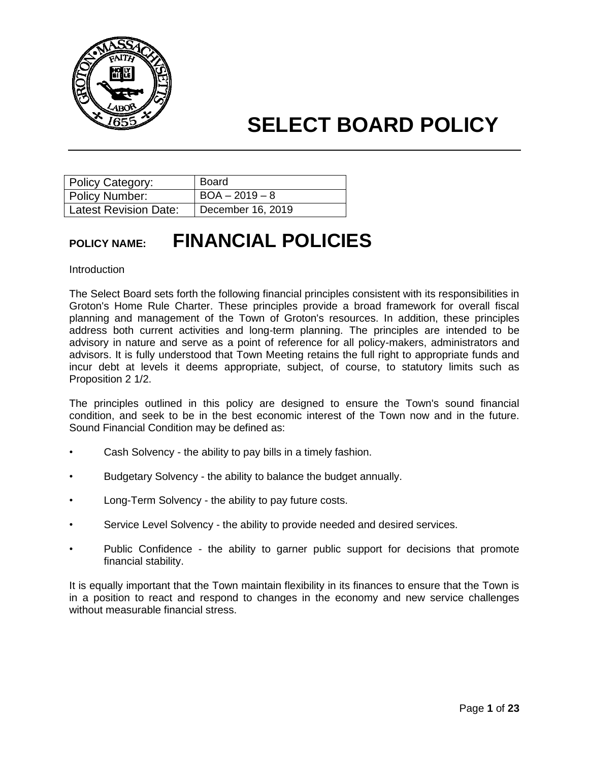

| Policy Category:             | <b>Board</b>      |
|------------------------------|-------------------|
| Policy Number:               | $BOA - 2019 - 8$  |
| <b>Latest Revision Date:</b> | December 16, 2019 |

### **POLICY NAME: FINANCIAL POLICIES**

#### **Introduction**

The Select Board sets forth the following financial principles consistent with its responsibilities in Groton's Home Rule Charter. These principles provide a broad framework for overall fiscal planning and management of the Town of Groton's resources. In addition, these principles address both current activities and long-term planning. The principles are intended to be advisory in nature and serve as a point of reference for all policy-makers, administrators and advisors. It is fully understood that Town Meeting retains the full right to appropriate funds and incur debt at levels it deems appropriate, subject, of course, to statutory limits such as Proposition 2 1/2.

The principles outlined in this policy are designed to ensure the Town's sound financial condition, and seek to be in the best economic interest of the Town now and in the future. Sound Financial Condition may be defined as:

- Cash Solvency the ability to pay bills in a timely fashion.
- Budgetary Solvency the ability to balance the budget annually.
- Long-Term Solvency the ability to pay future costs.
- Service Level Solvency the ability to provide needed and desired services.
- Public Confidence the ability to garner public support for decisions that promote financial stability.

It is equally important that the Town maintain flexibility in its finances to ensure that the Town is in a position to react and respond to changes in the economy and new service challenges without measurable financial stress.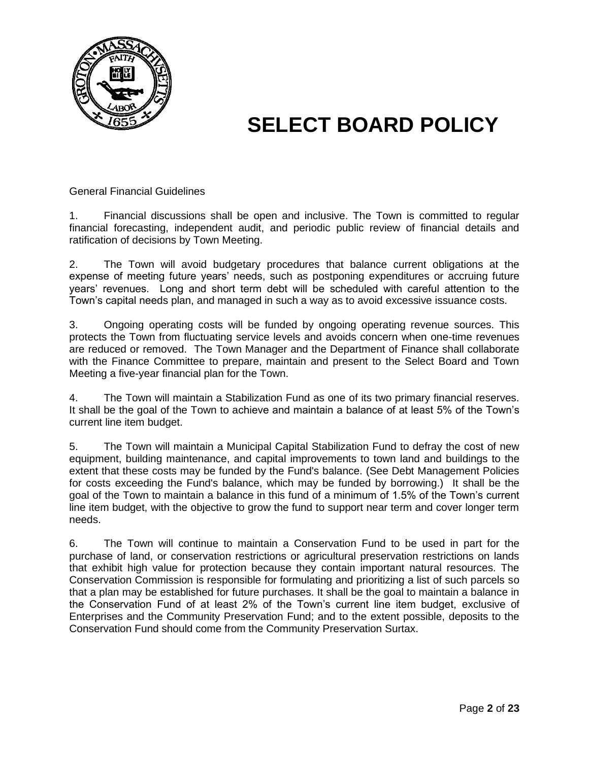

General Financial Guidelines

1. Financial discussions shall be open and inclusive. The Town is committed to regular financial forecasting, independent audit, and periodic public review of financial details and ratification of decisions by Town Meeting.

2. The Town will avoid budgetary procedures that balance current obligations at the expense of meeting future years' needs, such as postponing expenditures or accruing future years' revenues. Long and short term debt will be scheduled with careful attention to the Town's capital needs plan, and managed in such a way as to avoid excessive issuance costs.

3. Ongoing operating costs will be funded by ongoing operating revenue sources. This protects the Town from fluctuating service levels and avoids concern when one-time revenues are reduced or removed. The Town Manager and the Department of Finance shall collaborate with the Finance Committee to prepare, maintain and present to the Select Board and Town Meeting a five-year financial plan for the Town.

4. The Town will maintain a Stabilization Fund as one of its two primary financial reserves. It shall be the goal of the Town to achieve and maintain a balance of at least 5% of the Town's current line item budget.

5. The Town will maintain a Municipal Capital Stabilization Fund to defray the cost of new equipment, building maintenance, and capital improvements to town land and buildings to the extent that these costs may be funded by the Fund's balance. (See Debt Management Policies for costs exceeding the Fund's balance, which may be funded by borrowing.) It shall be the goal of the Town to maintain a balance in this fund of a minimum of 1.5% of the Town's current line item budget, with the objective to grow the fund to support near term and cover longer term needs.

6. The Town will continue to maintain a Conservation Fund to be used in part for the purchase of land, or conservation restrictions or agricultural preservation restrictions on lands that exhibit high value for protection because they contain important natural resources. The Conservation Commission is responsible for formulating and prioritizing a list of such parcels so that a plan may be established for future purchases. It shall be the goal to maintain a balance in the Conservation Fund of at least 2% of the Town's current line item budget, exclusive of Enterprises and the Community Preservation Fund; and to the extent possible, deposits to the Conservation Fund should come from the Community Preservation Surtax.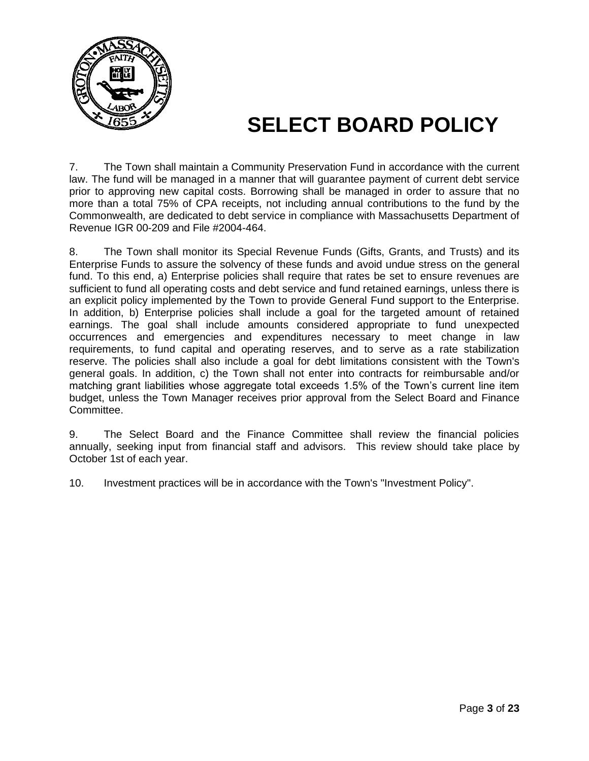

7. The Town shall maintain a Community Preservation Fund in accordance with the current law. The fund will be managed in a manner that will guarantee payment of current debt service prior to approving new capital costs. Borrowing shall be managed in order to assure that no more than a total 75% of CPA receipts, not including annual contributions to the fund by the Commonwealth, are dedicated to debt service in compliance with Massachusetts Department of Revenue IGR 00-209 and File #2004-464.

8. The Town shall monitor its Special Revenue Funds (Gifts, Grants, and Trusts) and its Enterprise Funds to assure the solvency of these funds and avoid undue stress on the general fund. To this end, a) Enterprise policies shall require that rates be set to ensure revenues are sufficient to fund all operating costs and debt service and fund retained earnings, unless there is an explicit policy implemented by the Town to provide General Fund support to the Enterprise. In addition, b) Enterprise policies shall include a goal for the targeted amount of retained earnings. The goal shall include amounts considered appropriate to fund unexpected occurrences and emergencies and expenditures necessary to meet change in law requirements, to fund capital and operating reserves, and to serve as a rate stabilization reserve. The policies shall also include a goal for debt limitations consistent with the Town's general goals. In addition, c) the Town shall not enter into contracts for reimbursable and/or matching grant liabilities whose aggregate total exceeds 1.5% of the Town's current line item budget, unless the Town Manager receives prior approval from the Select Board and Finance Committee.

9. The Select Board and the Finance Committee shall review the financial policies annually, seeking input from financial staff and advisors. This review should take place by October 1st of each year.

10. Investment practices will be in accordance with the Town's "Investment Policy".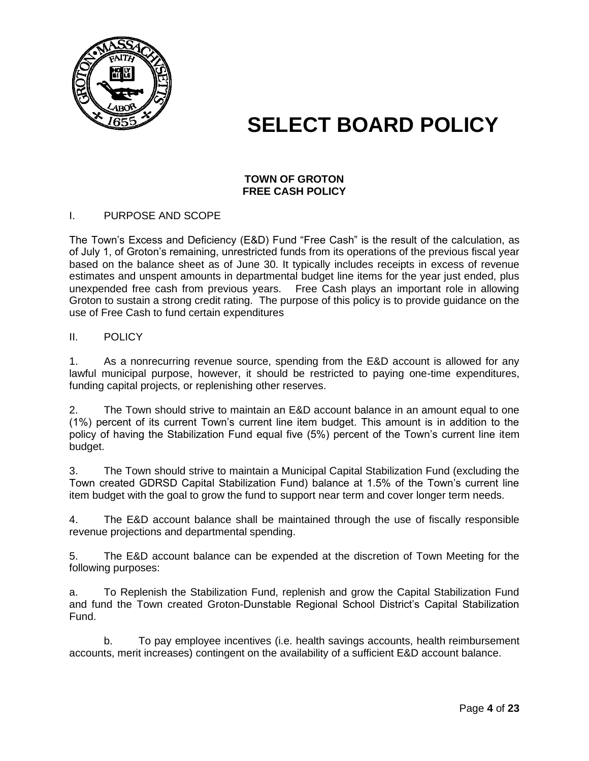

#### **TOWN OF GROTON FREE CASH POLICY**

#### I. PURPOSE AND SCOPE

The Town's Excess and Deficiency (E&D) Fund "Free Cash" is the result of the calculation, as of July 1, of Groton's remaining, unrestricted funds from its operations of the previous fiscal year based on the balance sheet as of June 30. It typically includes receipts in excess of revenue estimates and unspent amounts in departmental budget line items for the year just ended, plus unexpended free cash from previous years. Free Cash plays an important role in allowing Groton to sustain a strong credit rating. The purpose of this policy is to provide guidance on the use of Free Cash to fund certain expenditures

#### II. POLICY

1. As a nonrecurring revenue source, spending from the E&D account is allowed for any lawful municipal purpose, however, it should be restricted to paying one-time expenditures, funding capital projects, or replenishing other reserves.

2. The Town should strive to maintain an E&D account balance in an amount equal to one (1%) percent of its current Town's current line item budget. This amount is in addition to the policy of having the Stabilization Fund equal five (5%) percent of the Town's current line item budget.

3. The Town should strive to maintain a Municipal Capital Stabilization Fund (excluding the Town created GDRSD Capital Stabilization Fund) balance at 1.5% of the Town's current line item budget with the goal to grow the fund to support near term and cover longer term needs.

4. The E&D account balance shall be maintained through the use of fiscally responsible revenue projections and departmental spending.

5. The E&D account balance can be expended at the discretion of Town Meeting for the following purposes:

a. To Replenish the Stabilization Fund, replenish and grow the Capital Stabilization Fund and fund the Town created Groton-Dunstable Regional School District's Capital Stabilization Fund.

b. To pay employee incentives (i.e. health savings accounts, health reimbursement accounts, merit increases) contingent on the availability of a sufficient E&D account balance.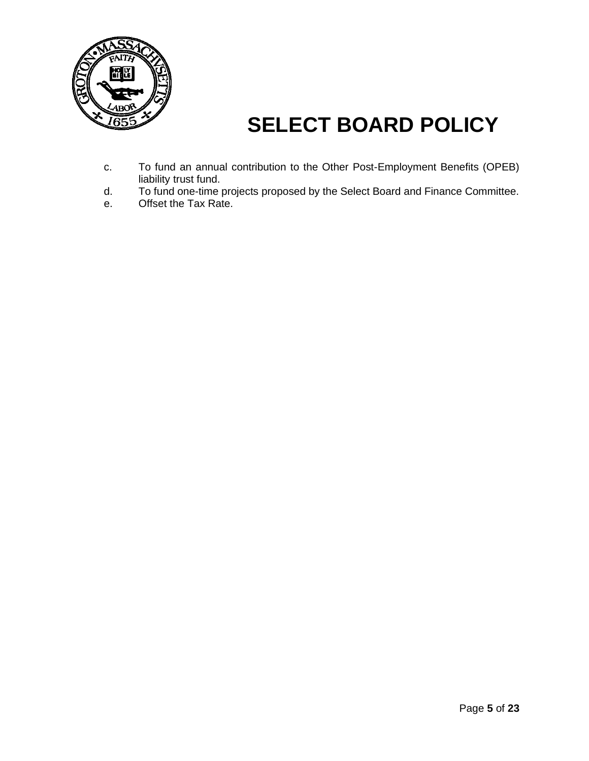

- c. To fund an annual contribution to the Other Post-Employment Benefits (OPEB) liability trust fund.
- d. To fund one-time projects proposed by the Select Board and Finance Committee.
- e. Offset the Tax Rate.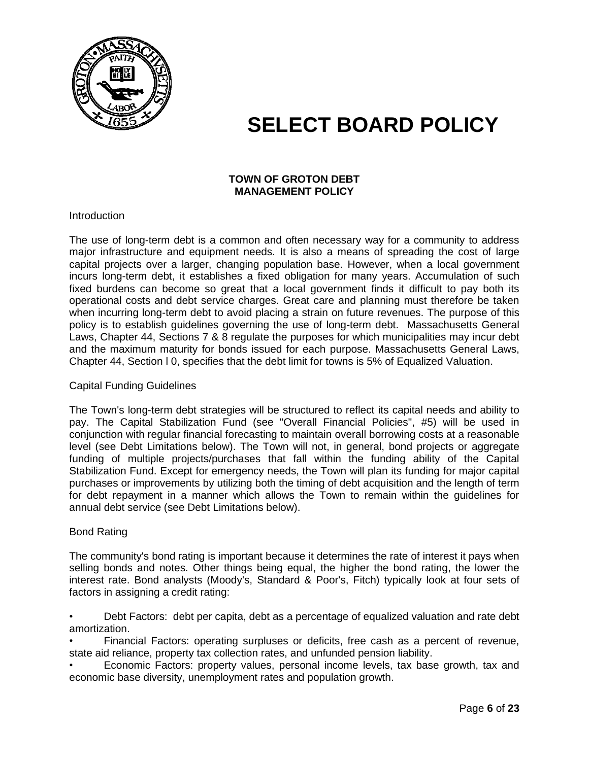

#### **TOWN OF GROTON DEBT MANAGEMENT POLICY**

**Introduction** 

The use of long-term debt is a common and often necessary way for a community to address major infrastructure and equipment needs. It is also a means of spreading the cost of large capital projects over a larger, changing population base. However, when a local government incurs long-term debt, it establishes a fixed obligation for many years. Accumulation of such fixed burdens can become so great that a local government finds it difficult to pay both its operational costs and debt service charges. Great care and planning must therefore be taken when incurring long-term debt to avoid placing a strain on future revenues. The purpose of this policy is to establish guidelines governing the use of long-term debt. Massachusetts General Laws, Chapter 44, Sections 7 & 8 regulate the purposes for which municipalities may incur debt and the maximum maturity for bonds issued for each purpose. Massachusetts General Laws, Chapter 44, Section l 0, specifies that the debt limit for towns is 5% of Equalized Valuation.

#### Capital Funding Guidelines

The Town's long-term debt strategies will be structured to reflect its capital needs and ability to pay. The Capital Stabilization Fund (see "Overall Financial Policies", #5) will be used in conjunction with regular financial forecasting to maintain overall borrowing costs at a reasonable level (see Debt Limitations below). The Town will not, in general, bond projects or aggregate funding of multiple projects/purchases that fall within the funding ability of the Capital Stabilization Fund. Except for emergency needs, the Town will plan its funding for major capital purchases or improvements by utilizing both the timing of debt acquisition and the length of term for debt repayment in a manner which allows the Town to remain within the guidelines for annual debt service (see Debt Limitations below).

#### Bond Rating

The community's bond rating is important because it determines the rate of interest it pays when selling bonds and notes. Other things being equal, the higher the bond rating, the lower the interest rate. Bond analysts (Moody's, Standard & Poor's, Fitch) typically look at four sets of factors in assigning a credit rating:

• Debt Factors: debt per capita, debt as a percentage of equalized valuation and rate debt amortization.

• Financial Factors: operating surpluses or deficits, free cash as a percent of revenue, state aid reliance, property tax collection rates, and unfunded pension liability.

• Economic Factors: property values, personal income levels, tax base growth, tax and economic base diversity, unemployment rates and population growth.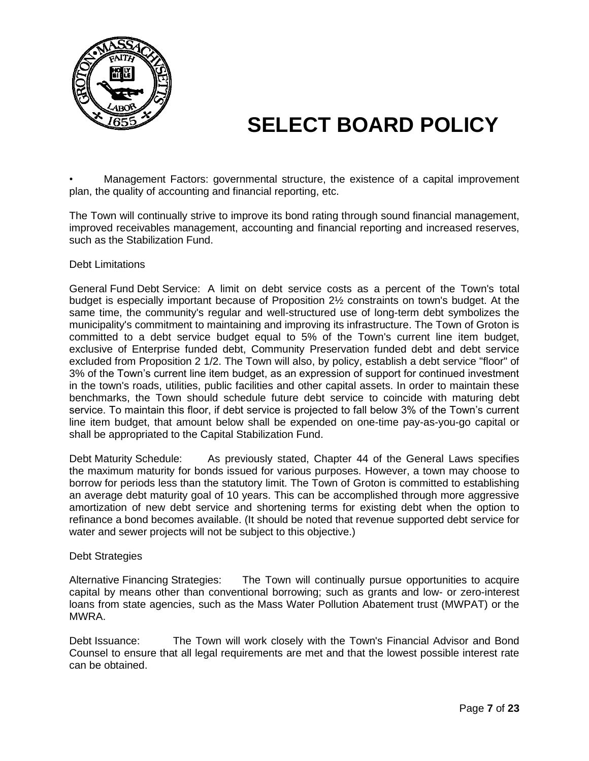

• Management Factors: governmental structure, the existence of a capital improvement plan, the quality of accounting and financial reporting, etc.

The Town will continually strive to improve its bond rating through sound financial management, improved receivables management, accounting and financial reporting and increased reserves, such as the Stabilization Fund.

#### Debt Limitations

General Fund Debt Service: A limit on debt service costs as a percent of the Town's total budget is especially important because of Proposition 2½ constraints on town's budget. At the same time, the community's regular and well-structured use of long-term debt symbolizes the municipality's commitment to maintaining and improving its infrastructure. The Town of Groton is committed to a debt service budget equal to 5% of the Town's current line item budget, exclusive of Enterprise funded debt, Community Preservation funded debt and debt service excluded from Proposition 2 1/2. The Town will also, by policy, establish a debt service "floor" of 3% of the Town's current line item budget, as an expression of support for continued investment in the town's roads, utilities, public facilities and other capital assets. In order to maintain these benchmarks, the Town should schedule future debt service to coincide with maturing debt service. To maintain this floor, if debt service is projected to fall below 3% of the Town's current line item budget, that amount below shall be expended on one-time pay-as-you-go capital or shall be appropriated to the Capital Stabilization Fund.

Debt Maturity Schedule: As previously stated, Chapter 44 of the General Laws specifies the maximum maturity for bonds issued for various purposes. However, a town may choose to borrow for periods less than the statutory limit. The Town of Groton is committed to establishing an average debt maturity goal of 10 years. This can be accomplished through more aggressive amortization of new debt service and shortening terms for existing debt when the option to refinance a bond becomes available. (It should be noted that revenue supported debt service for water and sewer projects will not be subject to this objective.)

#### Debt Strategies

Alternative Financing Strategies: The Town will continually pursue opportunities to acquire capital by means other than conventional borrowing; such as grants and low- or zero-interest loans from state agencies, such as the Mass Water Pollution Abatement trust (MWPAT) or the MWRA.

Debt Issuance: The Town will work closely with the Town's Financial Advisor and Bond Counsel to ensure that all legal requirements are met and that the lowest possible interest rate can be obtained.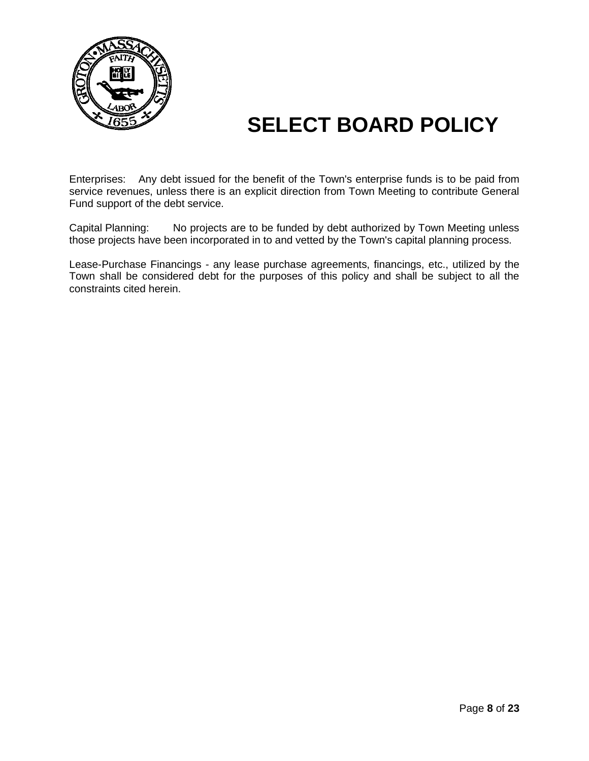

Enterprises: Any debt issued for the benefit of the Town's enterprise funds is to be paid from service revenues, unless there is an explicit direction from Town Meeting to contribute General Fund support of the debt service.

Capital Planning: No projects are to be funded by debt authorized by Town Meeting unless those projects have been incorporated in to and vetted by the Town's capital planning process.

Lease-Purchase Financings - any lease purchase agreements, financings, etc., utilized by the Town shall be considered debt for the purposes of this policy and shall be subject to all the constraints cited herein.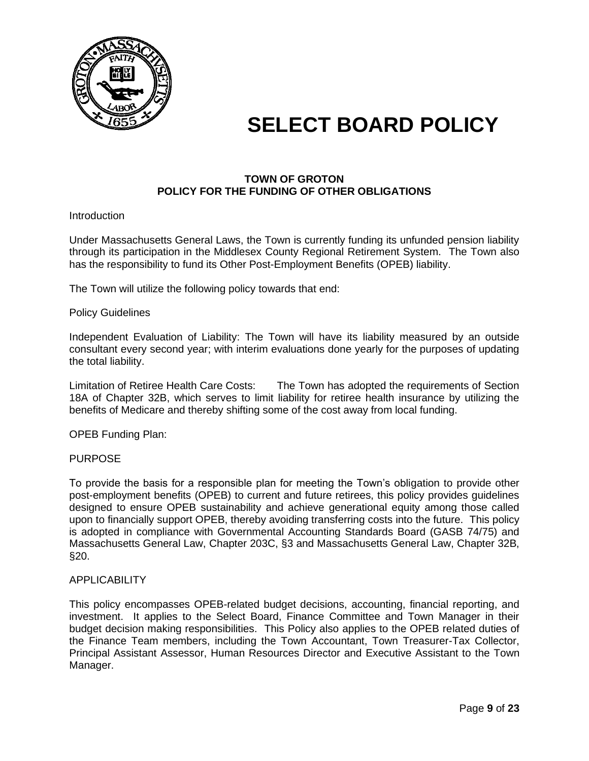

#### **TOWN OF GROTON POLICY FOR THE FUNDING OF OTHER OBLIGATIONS**

#### **Introduction**

Under Massachusetts General Laws, the Town is currently funding its unfunded pension liability through its participation in the Middlesex County Regional Retirement System. The Town also has the responsibility to fund its Other Post-Employment Benefits (OPEB) liability.

The Town will utilize the following policy towards that end:

#### Policy Guidelines

Independent Evaluation of Liability: The Town will have its liability measured by an outside consultant every second year; with interim evaluations done yearly for the purposes of updating the total liability.

Limitation of Retiree Health Care Costs: The Town has adopted the requirements of Section 18A of Chapter 32B, which serves to limit liability for retiree health insurance by utilizing the benefits of Medicare and thereby shifting some of the cost away from local funding.

OPEB Funding Plan:

#### PURPOSE

To provide the basis for a responsible plan for meeting the Town's obligation to provide other post-employment benefits (OPEB) to current and future retirees, this policy provides guidelines designed to ensure OPEB sustainability and achieve generational equity among those called upon to financially support OPEB, thereby avoiding transferring costs into the future. This policy is adopted in compliance with Governmental Accounting Standards Board (GASB 74/75) and Massachusetts General Law, Chapter 203C, §3 and Massachusetts General Law, Chapter 32B, §20.

#### **APPLICABILITY**

This policy encompasses OPEB-related budget decisions, accounting, financial reporting, and investment. It applies to the Select Board, Finance Committee and Town Manager in their budget decision making responsibilities. This Policy also applies to the OPEB related duties of the Finance Team members, including the Town Accountant, Town Treasurer-Tax Collector, Principal Assistant Assessor, Human Resources Director and Executive Assistant to the Town Manager.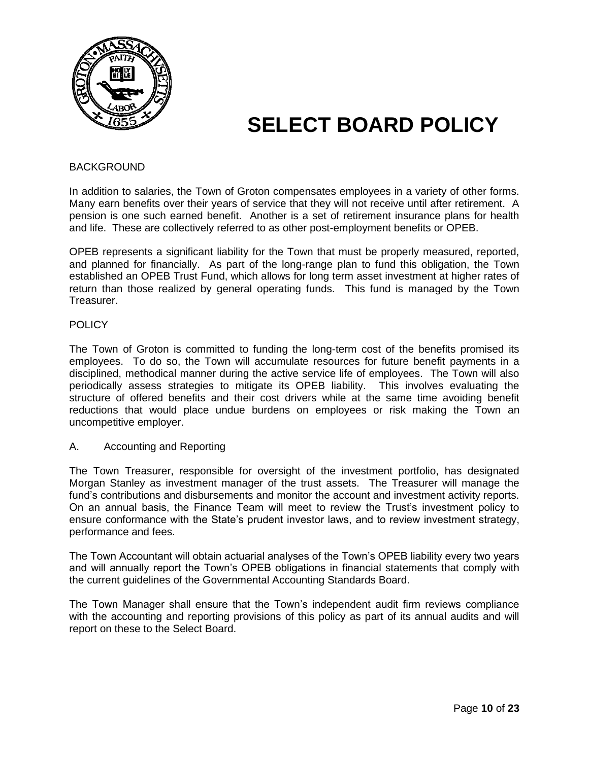

#### BACKGROUND

In addition to salaries, the Town of Groton compensates employees in a variety of other forms. Many earn benefits over their years of service that they will not receive until after retirement. A pension is one such earned benefit. Another is a set of retirement insurance plans for health and life. These are collectively referred to as other post-employment benefits or OPEB.

OPEB represents a significant liability for the Town that must be properly measured, reported, and planned for financially. As part of the long-range plan to fund this obligation, the Town established an OPEB Trust Fund, which allows for long term asset investment at higher rates of return than those realized by general operating funds. This fund is managed by the Town Treasurer.

#### **POLICY**

The Town of Groton is committed to funding the long-term cost of the benefits promised its employees. To do so, the Town will accumulate resources for future benefit payments in a disciplined, methodical manner during the active service life of employees. The Town will also periodically assess strategies to mitigate its OPEB liability. This involves evaluating the structure of offered benefits and their cost drivers while at the same time avoiding benefit reductions that would place undue burdens on employees or risk making the Town an uncompetitive employer.

#### A. Accounting and Reporting

The Town Treasurer, responsible for oversight of the investment portfolio, has designated Morgan Stanley as investment manager of the trust assets. The Treasurer will manage the fund's contributions and disbursements and monitor the account and investment activity reports. On an annual basis, the Finance Team will meet to review the Trust's investment policy to ensure conformance with the State's prudent investor laws, and to review investment strategy, performance and fees.

The Town Accountant will obtain actuarial analyses of the Town's OPEB liability every two years and will annually report the Town's OPEB obligations in financial statements that comply with the current guidelines of the Governmental Accounting Standards Board.

The Town Manager shall ensure that the Town's independent audit firm reviews compliance with the accounting and reporting provisions of this policy as part of its annual audits and will report on these to the Select Board.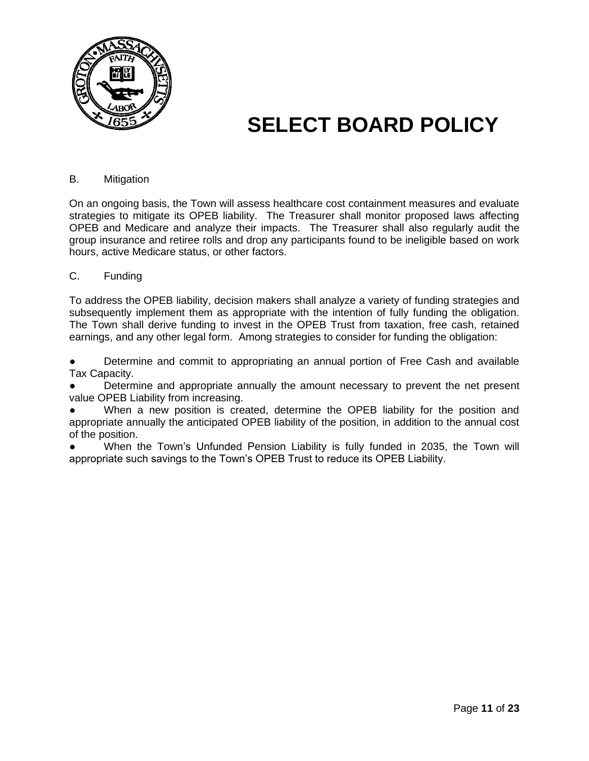

#### B. Mitigation

On an ongoing basis, the Town will assess healthcare cost containment measures and evaluate strategies to mitigate its OPEB liability. The Treasurer shall monitor proposed laws affecting OPEB and Medicare and analyze their impacts. The Treasurer shall also regularly audit the group insurance and retiree rolls and drop any participants found to be ineligible based on work hours, active Medicare status, or other factors.

#### C. Funding

To address the OPEB liability, decision makers shall analyze a variety of funding strategies and subsequently implement them as appropriate with the intention of fully funding the obligation. The Town shall derive funding to invest in the OPEB Trust from taxation, free cash, retained earnings, and any other legal form. Among strategies to consider for funding the obligation:

Determine and commit to appropriating an annual portion of Free Cash and available Tax Capacity.

Determine and appropriate annually the amount necessary to prevent the net present value OPEB Liability from increasing.

When a new position is created, determine the OPEB liability for the position and appropriate annually the anticipated OPEB liability of the position, in addition to the annual cost of the position.

When the Town's Unfunded Pension Liability is fully funded in 2035, the Town will appropriate such savings to the Town's OPEB Trust to reduce its OPEB Liability.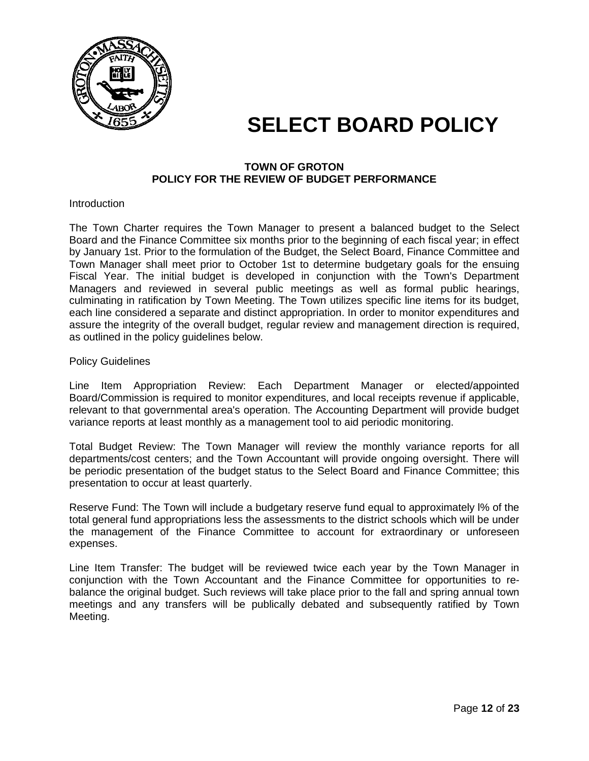

#### **TOWN OF GROTON POLICY FOR THE REVIEW OF BUDGET PERFORMANCE**

**Introduction** 

The Town Charter requires the Town Manager to present a balanced budget to the Select Board and the Finance Committee six months prior to the beginning of each fiscal year; in effect by January 1st. Prior to the formulation of the Budget, the Select Board, Finance Committee and Town Manager shall meet prior to October 1st to determine budgetary goals for the ensuing Fiscal Year. The initial budget is developed in conjunction with the Town's Department Managers and reviewed in several public meetings as well as formal public hearings, culminating in ratification by Town Meeting. The Town utilizes specific line items for its budget, each line considered a separate and distinct appropriation. In order to monitor expenditures and assure the integrity of the overall budget, regular review and management direction is required, as outlined in the policy guidelines below.

Policy Guidelines

Line Item Appropriation Review: Each Department Manager or elected/appointed Board/Commission is required to monitor expenditures, and local receipts revenue if applicable, relevant to that governmental area's operation. The Accounting Department will provide budget variance reports at least monthly as a management tool to aid periodic monitoring.

Total Budget Review: The Town Manager will review the monthly variance reports for all departments/cost centers; and the Town Accountant will provide ongoing oversight. There will be periodic presentation of the budget status to the Select Board and Finance Committee; this presentation to occur at least quarterly.

Reserve Fund: The Town will include a budgetary reserve fund equal to approximately l% of the total general fund appropriations less the assessments to the district schools which will be under the management of the Finance Committee to account for extraordinary or unforeseen expenses.

Line Item Transfer: The budget will be reviewed twice each year by the Town Manager in conjunction with the Town Accountant and the Finance Committee for opportunities to rebalance the original budget. Such reviews will take place prior to the fall and spring annual town meetings and any transfers will be publically debated and subsequently ratified by Town Meeting.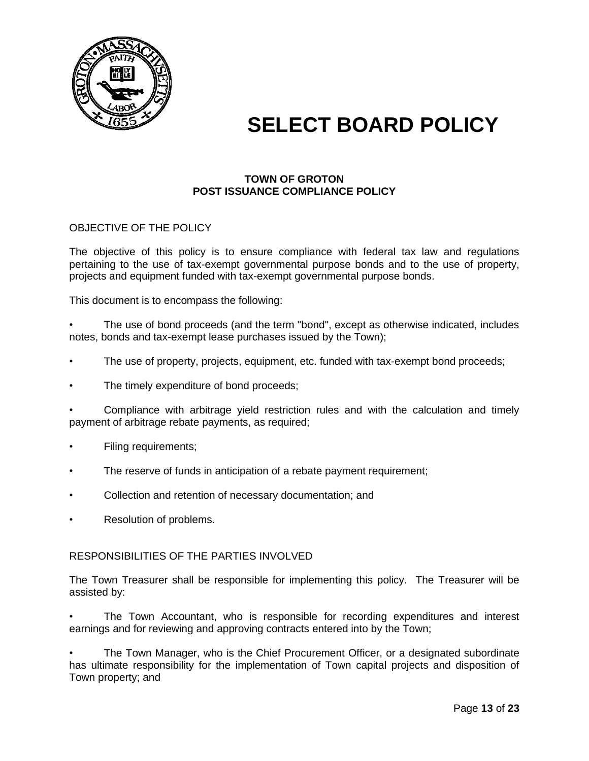

#### **TOWN OF GROTON POST ISSUANCE COMPLIANCE POLICY**

#### OBJECTIVE OF THE POLICY

The objective of this policy is to ensure compliance with federal tax law and regulations pertaining to the use of tax-exempt governmental purpose bonds and to the use of property, projects and equipment funded with tax-exempt governmental purpose bonds.

This document is to encompass the following:

The use of bond proceeds (and the term "bond", except as otherwise indicated, includes notes, bonds and tax-exempt lease purchases issued by the Town);

- The use of property, projects, equipment, etc. funded with tax-exempt bond proceeds;
- The timely expenditure of bond proceeds;

• Compliance with arbitrage yield restriction rules and with the calculation and timely payment of arbitrage rebate payments, as required;

- Filing requirements;
- The reserve of funds in anticipation of a rebate payment requirement;
- Collection and retention of necessary documentation; and
- Resolution of problems.

#### RESPONSIBILITIES OF THE PARTIES INVOLVED

The Town Treasurer shall be responsible for implementing this policy. The Treasurer will be assisted by:

• The Town Accountant, who is responsible for recording expenditures and interest earnings and for reviewing and approving contracts entered into by the Town;

The Town Manager, who is the Chief Procurement Officer, or a designated subordinate has ultimate responsibility for the implementation of Town capital projects and disposition of Town property; and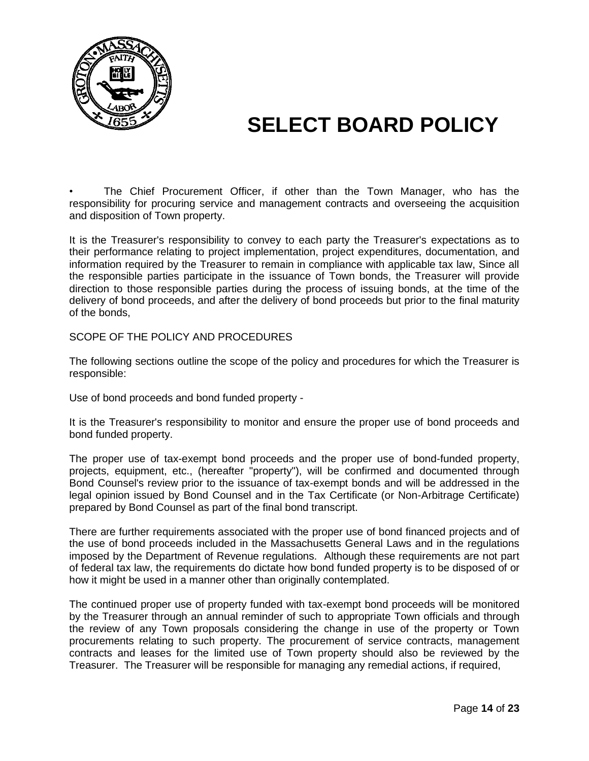

• The Chief Procurement Officer, if other than the Town Manager, who has the responsibility for procuring service and management contracts and overseeing the acquisition and disposition of Town property.

It is the Treasurer's responsibility to convey to each party the Treasurer's expectations as to their performance relating to project implementation, project expenditures, documentation, and information required by the Treasurer to remain in compliance with applicable tax law, Since all the responsible parties participate in the issuance of Town bonds, the Treasurer will provide direction to those responsible parties during the process of issuing bonds, at the time of the delivery of bond proceeds, and after the delivery of bond proceeds but prior to the final maturity of the bonds,

SCOPE OF THE POLICY AND PROCEDURES

The following sections outline the scope of the policy and procedures for which the Treasurer is responsible:

Use of bond proceeds and bond funded property -

It is the Treasurer's responsibility to monitor and ensure the proper use of bond proceeds and bond funded property.

The proper use of tax-exempt bond proceeds and the proper use of bond-funded property, projects, equipment, etc., (hereafter "property"), will be confirmed and documented through Bond Counsel's review prior to the issuance of tax-exempt bonds and will be addressed in the legal opinion issued by Bond Counsel and in the Tax Certificate (or Non-Arbitrage Certificate) prepared by Bond Counsel as part of the final bond transcript.

There are further requirements associated with the proper use of bond financed projects and of the use of bond proceeds included in the Massachusetts General Laws and in the regulations imposed by the Department of Revenue regulations. Although these requirements are not part of federal tax law, the requirements do dictate how bond funded property is to be disposed of or how it might be used in a manner other than originally contemplated.

The continued proper use of property funded with tax-exempt bond proceeds will be monitored by the Treasurer through an annual reminder of such to appropriate Town officials and through the review of any Town proposals considering the change in use of the property or Town procurements relating to such property. The procurement of service contracts, management contracts and leases for the limited use of Town property should also be reviewed by the Treasurer. The Treasurer will be responsible for managing any remedial actions, if required,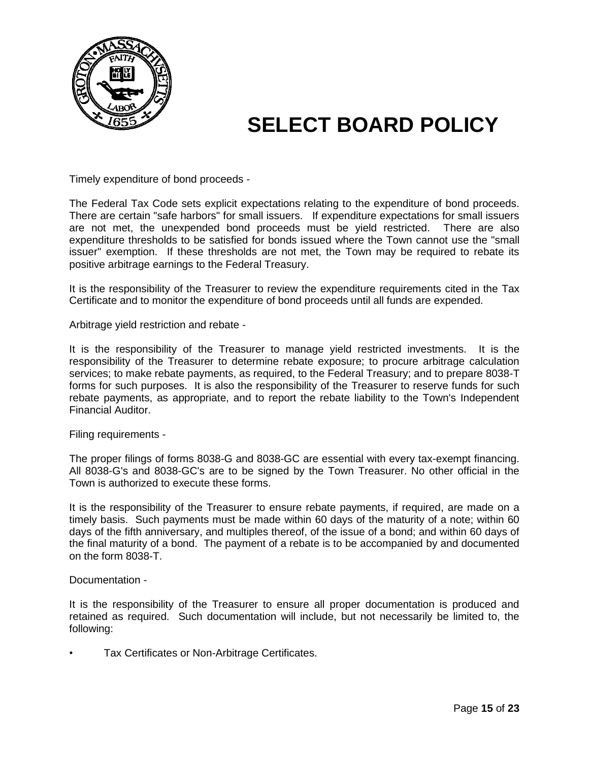

Timely expenditure of bond proceeds -

The Federal Tax Code sets explicit expectations relating to the expenditure of bond proceeds. There are certain "safe harbors" for small issuers. If expenditure expectations for small issuers are not met, the unexpended bond proceeds must be yield restricted. There are also expenditure thresholds to be satisfied for bonds issued where the Town cannot use the "small issuer" exemption. If these thresholds are not met, the Town may be required to rebate its positive arbitrage earnings to the Federal Treasury.

It is the responsibility of the Treasurer to review the expenditure requirements cited in the Tax Certificate and to monitor the expenditure of bond proceeds until all funds are expended.

Arbitrage yield restriction and rebate -

It is the responsibility of the Treasurer to manage yield restricted investments. It is the responsibility of the Treasurer to determine rebate exposure; to procure arbitrage calculation services; to make rebate payments, as required, to the Federal Treasury; and to prepare 8038-T forms for such purposes. It is also the responsibility of the Treasurer to reserve funds for such rebate payments, as appropriate, and to report the rebate liability to the Town's Independent Financial Auditor.

Filing requirements -

The proper filings of forms 8038-G and 8038-GC are essential with every tax-exempt financing. All 8038-G's and 8038-GC's are to be signed by the Town Treasurer. No other official in the Town is authorized to execute these forms.

It is the responsibility of the Treasurer to ensure rebate payments, if required, are made on a timely basis. Such payments must be made within 60 days of the maturity of a note; within 60 days of the fifth anniversary, and multiples thereof, of the issue of a bond; and within 60 days of the final maturity of a bond. The payment of a rebate is to be accompanied by and documented on the form 8038-T.

Documentation -

It is the responsibility of the Treasurer to ensure all proper documentation is produced and retained as required. Such documentation will include, but not necessarily be limited to, the following:

• Tax Certificates or Non-Arbitrage Certificates.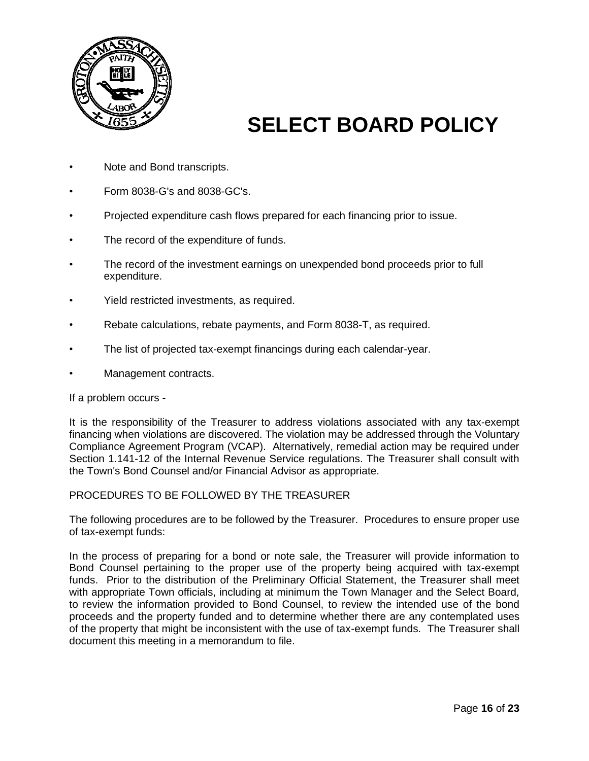

- Note and Bond transcripts.
- Form 8038-G's and 8038-GC's.
- Projected expenditure cash flows prepared for each financing prior to issue.
- The record of the expenditure of funds.
- The record of the investment earnings on unexpended bond proceeds prior to full expenditure.
- Yield restricted investments, as required.
- Rebate calculations, rebate payments, and Form 8038-T, as required.
- The list of projected tax-exempt financings during each calendar-year.
- Management contracts.

If a problem occurs -

It is the responsibility of the Treasurer to address violations associated with any tax-exempt financing when violations are discovered. The violation may be addressed through the Voluntary Compliance Agreement Program (VCAP). Alternatively, remedial action may be required under Section 1.141-12 of the Internal Revenue Service regulations. The Treasurer shall consult with the Town's Bond Counsel and/or Financial Advisor as appropriate.

#### PROCEDURES TO BE FOLLOWED BY THE TREASURER

The following procedures are to be followed by the Treasurer. Procedures to ensure proper use of tax-exempt funds:

In the process of preparing for a bond or note sale, the Treasurer will provide information to Bond Counsel pertaining to the proper use of the property being acquired with tax-exempt funds. Prior to the distribution of the Preliminary Official Statement, the Treasurer shall meet with appropriate Town officials, including at minimum the Town Manager and the Select Board, to review the information provided to Bond Counsel, to review the intended use of the bond proceeds and the property funded and to determine whether there are any contemplated uses of the property that might be inconsistent with the use of tax-exempt funds. The Treasurer shall document this meeting in a memorandum to file.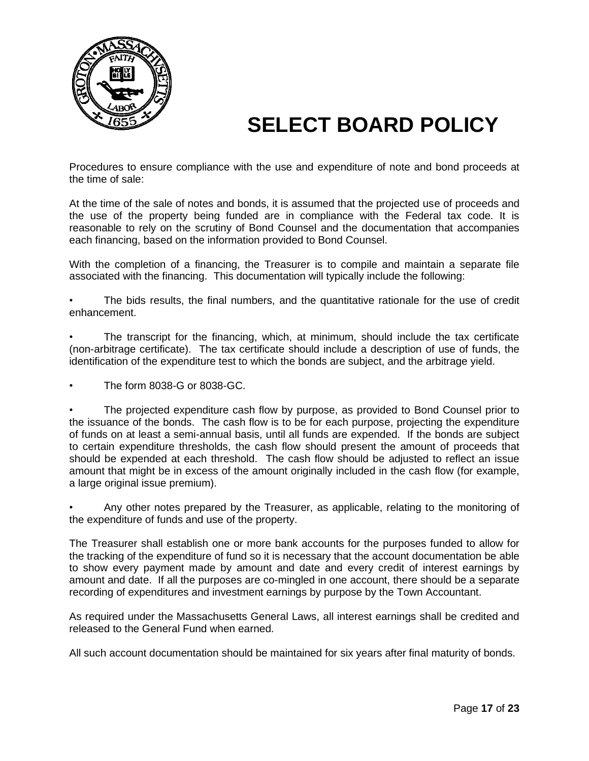

Procedures to ensure compliance with the use and expenditure of note and bond proceeds at the time of sale:

At the time of the sale of notes and bonds, it is assumed that the projected use of proceeds and the use of the property being funded are in compliance with the Federal tax code. It is reasonable to rely on the scrutiny of Bond Counsel and the documentation that accompanies each financing, based on the information provided to Bond Counsel.

With the completion of a financing, the Treasurer is to compile and maintain a separate file associated with the financing. This documentation will typically include the following:

The bids results, the final numbers, and the quantitative rationale for the use of credit enhancement.

• The transcript for the financing, which, at minimum, should include the tax certificate (non-arbitrage certificate). The tax certificate should include a description of use of funds, the identification of the expenditure test to which the bonds are subject, and the arbitrage yield.

• The form 8038-G or 8038-GC.

• The projected expenditure cash flow by purpose, as provided to Bond Counsel prior to the issuance of the bonds. The cash flow is to be for each purpose, projecting the expenditure of funds on at least a semi-annual basis, until all funds are expended. If the bonds are subject to certain expenditure thresholds, the cash flow should present the amount of proceeds that should be expended at each threshold. The cash flow should be adjusted to reflect an issue amount that might be in excess of the amount originally included in the cash flow (for example, a large original issue premium).

• Any other notes prepared by the Treasurer, as applicable, relating to the monitoring of the expenditure of funds and use of the property.

The Treasurer shall establish one or more bank accounts for the purposes funded to allow for the tracking of the expenditure of fund so it is necessary that the account documentation be able to show every payment made by amount and date and every credit of interest earnings by amount and date. If all the purposes are co-mingled in one account, there should be a separate recording of expenditures and investment earnings by purpose by the Town Accountant.

As required under the Massachusetts General Laws, all interest earnings shall be credited and released to the General Fund when earned.

All such account documentation should be maintained for six years after final maturity of bonds.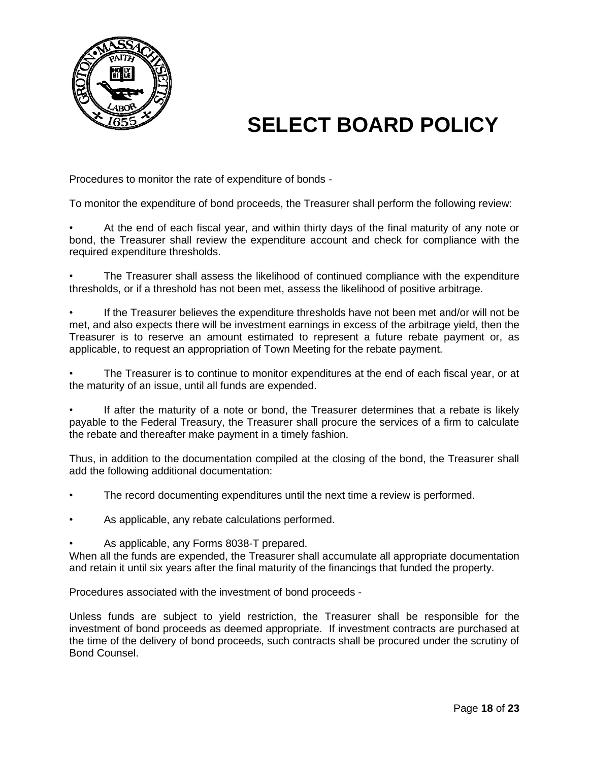

Procedures to monitor the rate of expenditure of bonds -

To monitor the expenditure of bond proceeds, the Treasurer shall perform the following review:

• At the end of each fiscal year, and within thirty days of the final maturity of any note or bond, the Treasurer shall review the expenditure account and check for compliance with the required expenditure thresholds.

• The Treasurer shall assess the likelihood of continued compliance with the expenditure thresholds, or if a threshold has not been met, assess the likelihood of positive arbitrage.

• If the Treasurer believes the expenditure thresholds have not been met and/or will not be met, and also expects there will be investment earnings in excess of the arbitrage yield, then the Treasurer is to reserve an amount estimated to represent a future rebate payment or, as applicable, to request an appropriation of Town Meeting for the rebate payment.

• The Treasurer is to continue to monitor expenditures at the end of each fiscal year, or at the maturity of an issue, until all funds are expended.

• If after the maturity of a note or bond, the Treasurer determines that a rebate is likely payable to the Federal Treasury, the Treasurer shall procure the services of a firm to calculate the rebate and thereafter make payment in a timely fashion.

Thus, in addition to the documentation compiled at the closing of the bond, the Treasurer shall add the following additional documentation:

- The record documenting expenditures until the next time a review is performed.
- As applicable, any rebate calculations performed.
- As applicable, any Forms 8038-T prepared.

When all the funds are expended, the Treasurer shall accumulate all appropriate documentation and retain it until six years after the final maturity of the financings that funded the property.

Procedures associated with the investment of bond proceeds -

Unless funds are subject to yield restriction, the Treasurer shall be responsible for the investment of bond proceeds as deemed appropriate. If investment contracts are purchased at the time of the delivery of bond proceeds, such contracts shall be procured under the scrutiny of Bond Counsel.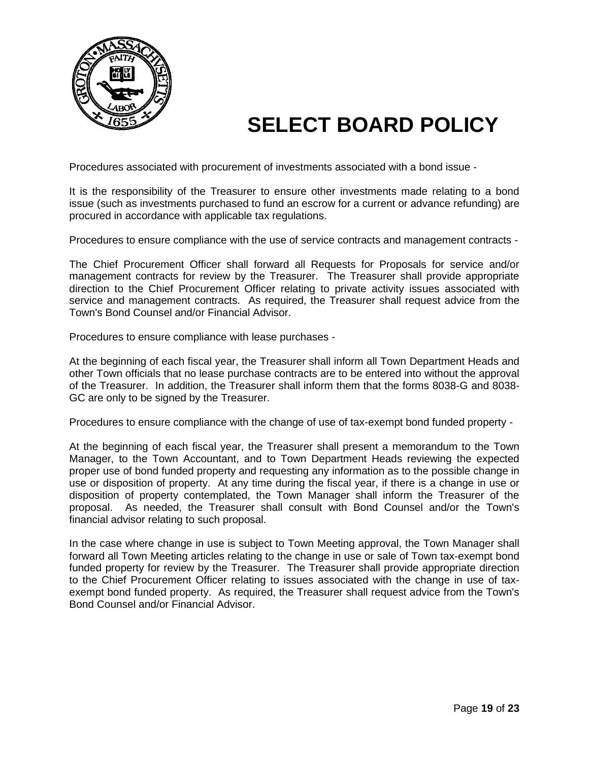

Procedures associated with procurement of investments associated with a bond issue -

It is the responsibility of the Treasurer to ensure other investments made relating to a bond issue (such as investments purchased to fund an escrow for a current or advance refunding) are procured in accordance with applicable tax regulations.

Procedures to ensure compliance with the use of service contracts and management contracts -

The Chief Procurement Officer shall forward all Requests for Proposals for service and/or management contracts for review by the Treasurer. The Treasurer shall provide appropriate direction to the Chief Procurement Officer relating to private activity issues associated with service and management contracts. As required, the Treasurer shall request advice from the Town's Bond Counsel and/or Financial Advisor.

Procedures to ensure compliance with lease purchases -

At the beginning of each fiscal year, the Treasurer shall inform all Town Department Heads and other Town officials that no lease purchase contracts are to be entered into without the approval of the Treasurer. In addition, the Treasurer shall inform them that the forms 8038-G and 8038- GC are only to be signed by the Treasurer.

Procedures to ensure compliance with the change of use of tax-exempt bond funded property -

At the beginning of each fiscal year, the Treasurer shall present a memorandum to the Town Manager, to the Town Accountant, and to Town Department Heads reviewing the expected proper use of bond funded property and requesting any information as to the possible change in use or disposition of property. At any time during the fiscal year, if there is a change in use or disposition of property contemplated, the Town Manager shall inform the Treasurer of the proposal. As needed, the Treasurer shall consult with Bond Counsel and/or the Town's financial advisor relating to such proposal.

In the case where change in use is subject to Town Meeting approval, the Town Manager shall forward all Town Meeting articles relating to the change in use or sale of Town tax-exempt bond funded property for review by the Treasurer. The Treasurer shall provide appropriate direction to the Chief Procurement Officer relating to issues associated with the change in use of taxexempt bond funded property. As required, the Treasurer shall request advice from the Town's Bond Counsel and/or Financial Advisor.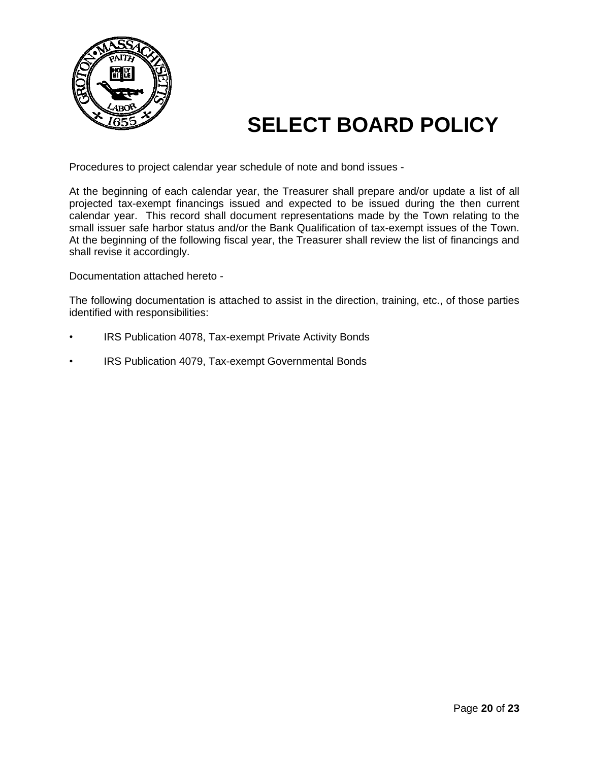

Procedures to project calendar year schedule of note and bond issues -

At the beginning of each calendar year, the Treasurer shall prepare and/or update a list of all projected tax-exempt financings issued and expected to be issued during the then current calendar year. This record shall document representations made by the Town relating to the small issuer safe harbor status and/or the Bank Qualification of tax-exempt issues of the Town. At the beginning of the following fiscal year, the Treasurer shall review the list of financings and shall revise it accordingly.

Documentation attached hereto -

The following documentation is attached to assist in the direction, training, etc., of those parties identified with responsibilities:

- IRS Publication 4078, Tax-exempt Private Activity Bonds
- IRS Publication 4079, Tax-exempt Governmental Bonds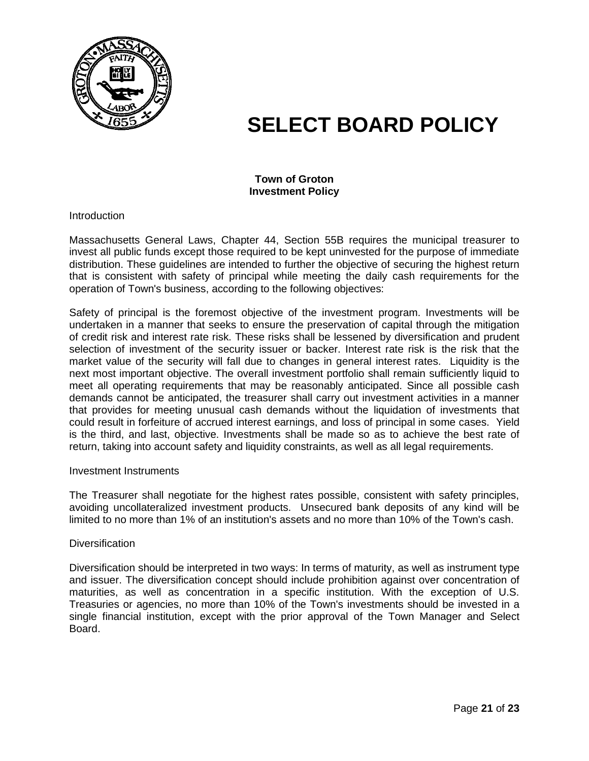

#### **Town of Groton Investment Policy**

**Introduction** 

Massachusetts General Laws, Chapter 44, Section 55B requires the municipal treasurer to invest all public funds except those required to be kept uninvested for the purpose of immediate distribution. These guidelines are intended to further the objective of securing the highest return that is consistent with safety of principal while meeting the daily cash requirements for the operation of Town's business, according to the following objectives:

Safety of principal is the foremost objective of the investment program. Investments will be undertaken in a manner that seeks to ensure the preservation of capital through the mitigation of credit risk and interest rate risk. These risks shall be lessened by diversification and prudent selection of investment of the security issuer or backer. Interest rate risk is the risk that the market value of the security will fall due to changes in general interest rates. Liquidity is the next most important objective. The overall investment portfolio shall remain sufficiently liquid to meet all operating requirements that may be reasonably anticipated. Since all possible cash demands cannot be anticipated, the treasurer shall carry out investment activities in a manner that provides for meeting unusual cash demands without the liquidation of investments that could result in forfeiture of accrued interest earnings, and loss of principal in some cases. Yield is the third, and last, objective. Investments shall be made so as to achieve the best rate of return, taking into account safety and liquidity constraints, as well as all legal requirements.

#### Investment Instruments

The Treasurer shall negotiate for the highest rates possible, consistent with safety principles, avoiding uncollateralized investment products. Unsecured bank deposits of any kind will be limited to no more than 1% of an institution's assets and no more than 10% of the Town's cash.

#### **Diversification**

Diversification should be interpreted in two ways: In terms of maturity, as well as instrument type and issuer. The diversification concept should include prohibition against over concentration of maturities, as well as concentration in a specific institution. With the exception of U.S. Treasuries or agencies, no more than 10% of the Town's investments should be invested in a single financial institution, except with the prior approval of the Town Manager and Select Board.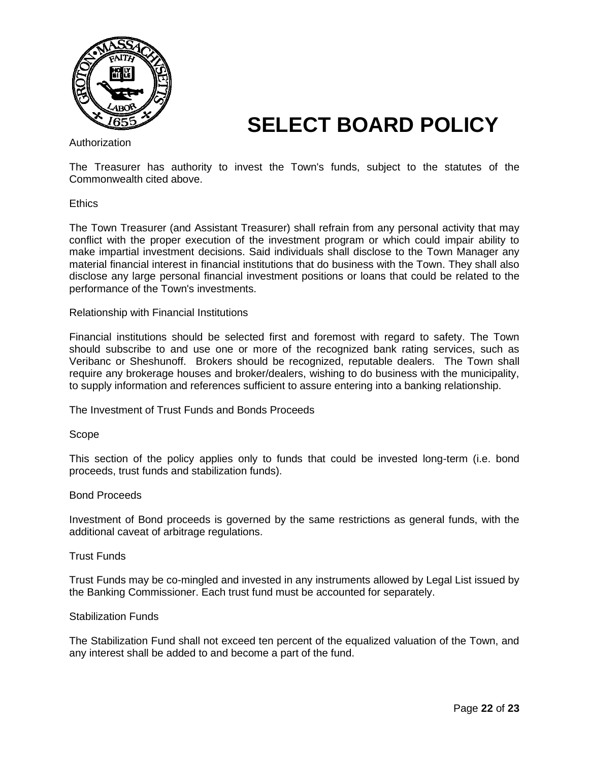

Authorization

The Treasurer has authority to invest the Town's funds, subject to the statutes of the Commonwealth cited above.

**Ethics** 

The Town Treasurer (and Assistant Treasurer) shall refrain from any personal activity that may conflict with the proper execution of the investment program or which could impair ability to make impartial investment decisions. Said individuals shall disclose to the Town Manager any material financial interest in financial institutions that do business with the Town. They shall also disclose any large personal financial investment positions or loans that could be related to the performance of the Town's investments.

Relationship with Financial Institutions

Financial institutions should be selected first and foremost with regard to safety. The Town should subscribe to and use one or more of the recognized bank rating services, such as Veribanc or Sheshunoff. Brokers should be recognized, reputable dealers. The Town shall require any brokerage houses and broker/dealers, wishing to do business with the municipality, to supply information and references sufficient to assure entering into a banking relationship.

The Investment of Trust Funds and Bonds Proceeds

Scope

This section of the policy applies only to funds that could be invested long-term (i.e. bond proceeds, trust funds and stabilization funds).

#### Bond Proceeds

Investment of Bond proceeds is governed by the same restrictions as general funds, with the additional caveat of arbitrage regulations.

#### Trust Funds

Trust Funds may be co-mingled and invested in any instruments allowed by Legal List issued by the Banking Commissioner. Each trust fund must be accounted for separately.

#### Stabilization Funds

The Stabilization Fund shall not exceed ten percent of the equalized valuation of the Town, and any interest shall be added to and become a part of the fund.